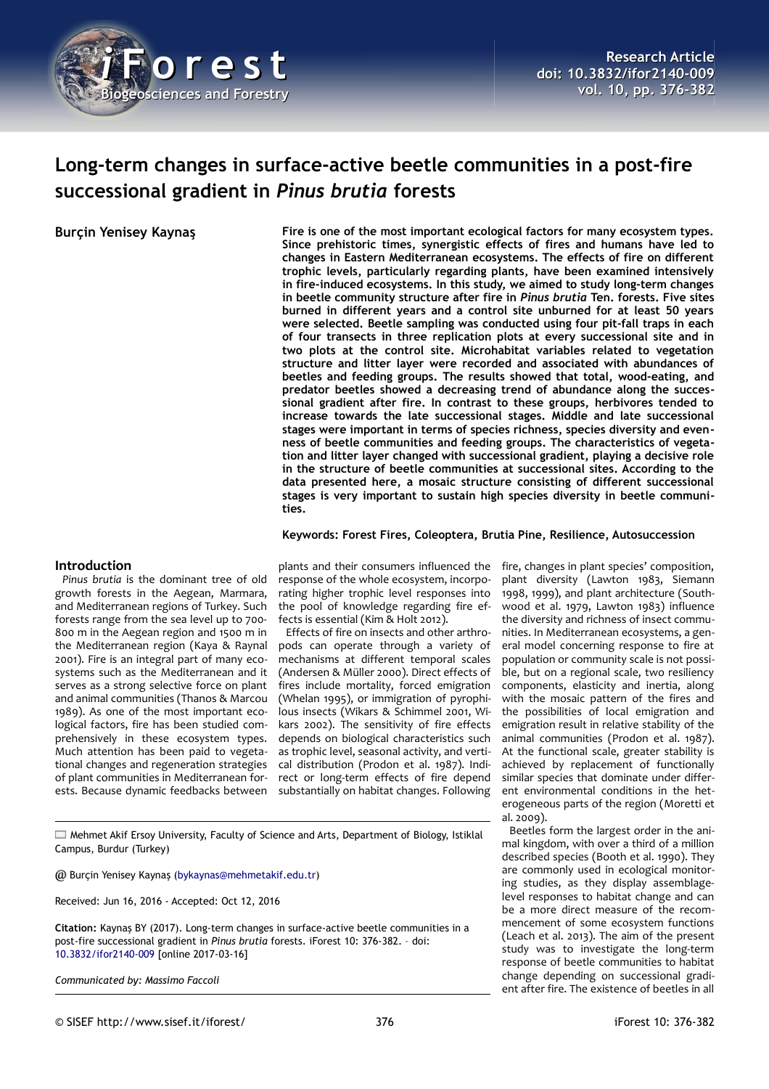

# **Long-term changes in surface-active beetle communities in a post-fire successional gradient in** *Pinus brutia* **forests**

**Burçin Yenisey Kaynaş Fire is one of the most important ecological factors for many ecosystem types. Since prehistoric times, synergistic effects of fires and humans have led to changes in Eastern Mediterranean ecosystems. The effects of fire on different trophic levels, particularly regarding plants, have been examined intensively in fire-induced ecosystems. In this study, we aimed to study long-term changes in beetle community structure after fire in** *Pinus brutia* **Ten. forests. Five sites burned in different years and a control site unburned for at least 50 years were selected. Beetle sampling was conducted using four pit-fall traps in each of four transects in three replication plots at every successional site and in two plots at the control site. Microhabitat variables related to vegetation structure and litter layer were recorded and associated with abundances of beetles and feeding groups. The results showed that total, wood-eating, and predator beetles showed a decreasing trend of abundance along the successional gradient after fire. In contrast to these groups, herbivores tended to increase towards the late successional stages. Middle and late successional stages were important in terms of species richness, species diversity and evenness of beetle communities and feeding groups. The characteristics of vegetation and litter layer changed with successional gradient, playing a decisive role in the structure of beetle communities at successional sites. According to the data presented here, a mosaic structure consisting of different successional stages is very important to sustain high species diversity in beetle communities.**

**Keywords: Forest Fires, Coleoptera, Brutia Pine, Resilience, Autosuccession**

## **Introduction**

*Pinus brutia* is the dominant tree of old growth forests in the Aegean, Marmara, and Mediterranean regions of Turkey. Such forests range from the sea level up to 700- 800 m in the Aegean region and 1500 m in the Mediterranean region (Kaya & Raynal 2001). Fire is an integral part of many ecosystems such as the Mediterranean and it serves as a strong selective force on plant and animal communities (Thanos & Marcou 1989). As one of the most important ecological factors, fire has been studied comprehensively in these ecosystem types. Much attention has been paid to vegetational changes and regeneration strategies of plant communities in Mediterranean forests. Because dynamic feedbacks between

plants and their consumers influenced the response of the whole ecosystem, incorporating higher trophic level responses into the pool of knowledge regarding fire effects is essential (Kim & Holt 2012).

Effects of fire on insects and other arthropods can operate through a variety of mechanisms at different temporal scales (Andersen & Müller 2000). Direct effects of fires include mortality, forced emigration (Whelan 1995), or immigration of pyrophilous insects (Wikars & Schimmel 2001, Wikars 2002). The sensitivity of fire effects depends on biological characteristics such as trophic level, seasonal activity, and vertical distribution (Prodon et al. 1987). Indirect or long-term effects of fire depend substantially on habitat changes. Following

plant diversity (Lawton 1983, Siemann 1998, 1999), and plant architecture (Southwood et al. 1979, Lawton 1983) influence the diversity and richness of insect communities. In Mediterranean ecosystems, a general model concerning response to fire at population or community scale is not possible, but on a regional scale, two resiliency components, elasticity and inertia, along with the mosaic pattern of the fires and the possibilities of local emigration and emigration result in relative stability of the animal communities (Prodon et al. 1987). At the functional scale, greater stability is achieved by replacement of functionally similar species that dominate under different environmental conditions in the heterogeneous parts of the region (Moretti et al. 2009).

fire, changes in plant species' composition,

Beetles form the largest order in the animal kingdom, with over a third of a million described species (Booth et al. 1990). They are commonly used in ecological monitoring studies, as they display assemblagelevel responses to habitat change and can be a more direct measure of the recommencement of some ecosystem functions (Leach et al. 2013). The aim of the present study was to investigate the long-term response of beetle communities to habitat change depending on successional gradient after fire. The existence of beetles in all

Mehmet Akif Ersoy University, Faculty of Science and Arts, Department of Biology, Istiklal Campus, Burdur (Turkey)

@ Burçin Yenisey Kaynaş [\(bykaynas@mehmetakif.edu.tr\)](mailto:bykaynas@mehmetakif.edu.tr)

Received: Jun 16, 2016 - Accepted: Oct 12, 2016

**Citation:** Kaynaş BY (2017). Long-term changes in surface-active beetle communities in a post-fire successional gradient in *Pinus brutia* forests. iForest 10: 376-382. – doi[:](http://www.sisef.it/iforest/contents/?id=ifor2140-009) [10.3832/ifor2140-009](http://www.sisef.it/iforest/contents/?id=ifor2140-009) [online 2017-03-16]

*Communicated by: Massimo Faccoli*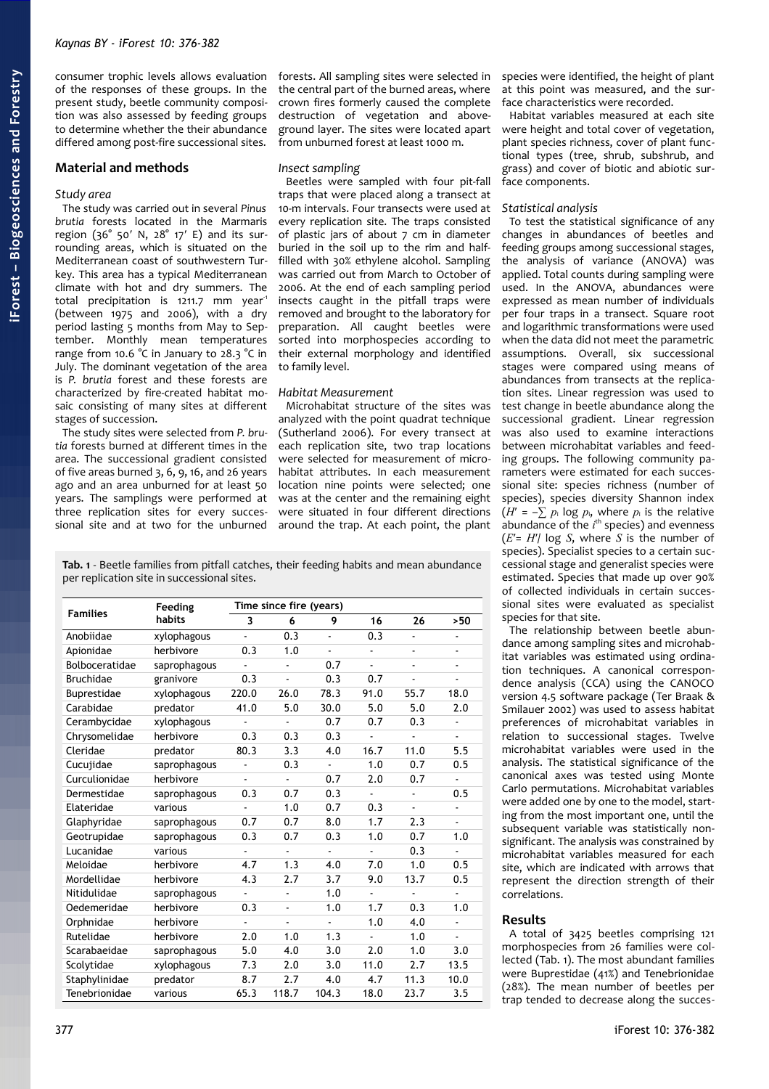consumer trophic levels allows evaluation of the responses of these groups. In the present study, beetle community composition was also assessed by feeding groups to determine whether the their abundance differed among post-fire successional sites.

## **Material and methods**

#### *Study area*

The study was carried out in several *Pinus brutia* forests located in the Marmaris region (36° 50′ N, 28° 17′ E) and its surrounding areas, which is situated on the Mediterranean coast of southwestern Turkey. This area has a typical Mediterranean climate with hot and dry summers. The total precipitation is 1211.7 mm year<sup>-1</sup> (between 1975 and 2006), with a dry period lasting 5 months from May to September. Monthly mean temperatures range from 10.6 °C in January to 28.3 °C in July. The dominant vegetation of the area is *P. brutia* forest and these forests are characterized by fire-created habitat mosaic consisting of many sites at different stages of succession.

The study sites were selected from *P. brutia* forests burned at different times in the area. The successional gradient consisted of five areas burned 3, 6, 9, 16, and 26 years ago and an area unburned for at least 50 years. The samplings were performed at three replication sites for every successional site and at two for the unburned

forests. All sampling sites were selected in the central part of the burned areas, where crown fires formerly caused the complete destruction of vegetation and aboveground layer. The sites were located apart from unburned forest at least 1000 m.

#### *Insect sampling*

Beetles were sampled with four pit-fall traps that were placed along a transect at 10-m intervals. Four transects were used at every replication site. The traps consisted of plastic jars of about 7 cm in diameter buried in the soil up to the rim and halffilled with 30% ethylene alcohol. Sampling was carried out from March to October of 2006. At the end of each sampling period insects caught in the pitfall traps were removed and brought to the laboratory for preparation. All caught beetles were sorted into morphospecies according to their external morphology and identified to family level.

#### *Habitat Measurement*

Microhabitat structure of the sites was analyzed with the point quadrat technique (Sutherland 2006). For every transect at each replication site, two trap locations were selected for measurement of microhabitat attributes. In each measurement location nine points were selected; one was at the center and the remaining eight were situated in four different directions around the trap. At each point, the plant

<span id="page-1-0"></span>**Tab. 1** - Beetle families from pitfall catches, their feeding habits and mean abundance per replication site in successional sites.

| <b>Families</b>  | Feeding<br>habits | Time since fire (years) |       |                          |                          |                          |                |  |
|------------------|-------------------|-------------------------|-------|--------------------------|--------------------------|--------------------------|----------------|--|
|                  |                   | 3                       | 6     | 9                        | 16                       | 26                       | >50            |  |
| Anobiidae        | xylophagous       | $\overline{a}$          | 0.3   | ä,                       | 0.3                      | ÷                        |                |  |
| Apionidae        | herbivore         | 0.3                     | 1.0   | ä,                       | ä,                       | $\overline{\phantom{0}}$ |                |  |
| Bolboceratidae   | saprophagous      |                         |       | 0.7                      |                          |                          |                |  |
| <b>Bruchidae</b> | granivore         | 0.3                     | ÷,    | 0.3                      | 0.7                      |                          | ٠              |  |
| Buprestidae      | xylophagous       | 220.0                   | 26.0  | 78.3                     | 91.0                     | 55.7                     | 18.0           |  |
| Carabidae        | predator          | 41.0                    | 5.0   | 30.0                     | 5.0                      | 5.0                      | 2.0            |  |
| Cerambycidae     | xylophagous       |                         |       | 0.7                      | 0.7                      | 0.3                      | $\blacksquare$ |  |
| Chrysomelidae    | herbivore         | 0.3                     | 0.3   | 0.3                      |                          |                          |                |  |
| Cleridae         | predator          | 80.3                    | 3.3   | 4.0                      | 16.7                     | 11.0                     | 5.5            |  |
| Cucujidae        | saprophagous      | -                       | 0.3   |                          | 1.0                      | 0.7                      | 0.5            |  |
| Curculionidae    | herbivore         |                         | ä,    | 0.7                      | 2.0                      | 0.7                      | ä,             |  |
| Dermestidae      | saprophagous      | 0.3                     | 0.7   | 0.3                      | ä,                       | ٠                        | 0.5            |  |
| Elateridae       | various           |                         | 1.0   | 0.7                      | 0.3                      |                          |                |  |
| Glaphyridae      | saprophagous      | 0.7                     | 0.7   | 8.0                      | 1.7                      | 2.3                      |                |  |
| Geotrupidae      | saprophagous      | 0.3                     | 0.7   | 0.3                      | 1.0                      | 0.7                      | 1.0            |  |
| Lucanidae        | various           | $\overline{a}$          | ÷     | $\overline{\phantom{a}}$ | $\overline{\phantom{a}}$ | 0.3                      | ÷              |  |
| Meloidae         | herbivore         | 4.7                     | 1.3   | 4.0                      | 7.0                      | 1.0                      | 0.5            |  |
| Mordellidae      | herbivore         | 4.3                     | 2.7   | 3.7                      | 9.0                      | 13.7                     | 0.5            |  |
| Nitidulidae      | saprophagous      | $\blacksquare$          | ÷     | 1.0                      | $\blacksquare$           | ÷                        |                |  |
| Oedemeridae      | herbivore         | 0.3                     |       | 1.0                      | 1.7                      | 0.3                      | 1.0            |  |
| Orphnidae        | herbivore         | $\frac{1}{2}$           | ٠     | $\overline{\phantom{a}}$ | 1.0                      | 4.0                      | $\blacksquare$ |  |
| Rutelidae        | herbivore         | 2.0                     | 1.0   | 1.3                      | $\frac{1}{2}$            | 1.0                      |                |  |
| Scarabaeidae     | saprophagous      | 5.0                     | 4.0   | 3.0                      | 2.0                      | 1.0                      | 3.0            |  |
| Scolytidae       | xylophagous       | 7.3                     | 2.0   | 3.0                      | 11.0                     | 2.7                      | 13.5           |  |
| Staphylinidae    | predator          | 8.7                     | 2.7   | 4.0                      | 4.7                      | 11.3                     | 10.0           |  |
| Tenebrionidae    | various           | 65.3                    | 118.7 | 104.3                    | 18.0                     | 23.7                     | 3.5            |  |

species were identified, the height of plant at this point was measured, and the surface characteristics were recorded.

Habitat variables measured at each site were height and total cover of vegetation, plant species richness, cover of plant functional types (tree, shrub, subshrub, and grass) and cover of biotic and abiotic surface components.

#### *Statistical analysis*

To test the statistical significance of any changes in abundances of beetles and feeding groups among successional stages, the analysis of variance (ANOVA) was applied. Total counts during sampling were used. In the ANOVA, abundances were expressed as mean number of individuals per four traps in a transect. Square root and logarithmic transformations were used when the data did not meet the parametric assumptions. Overall, six successional stages were compared using means of abundances from transects at the replication sites. Linear regression was used to test change in beetle abundance along the successional gradient. Linear regression was also used to examine interactions between microhabitat variables and feeding groups. The following community parameters were estimated for each successional site: species richness (number of species), species diversity Shannon index  $(H' = -\sum p_i \log p_i$ , where  $p_i$  is the relative abundance of the *i*<sup>th</sup> species) and evenness (*E*′= *H*′/ log *S*, where *S* is the number of species). Specialist species to a certain successional stage and generalist species were estimated. Species that made up over 90% of collected individuals in certain successional sites were evaluated as specialist species for that site.

The relationship between beetle abundance among sampling sites and microhabitat variables was estimated using ordination techniques. A canonical correspondence analysis (CCA) using the CANOCO version 4.5 software package (Ter Braak & Smilauer 2002) was used to assess habitat preferences of microhabitat variables in relation to successional stages. Twelve microhabitat variables were used in the analysis. The statistical significance of the canonical axes was tested using Monte Carlo permutations. Microhabitat variables were added one by one to the model, starting from the most important one, until the subsequent variable was statistically nonsignificant. The analysis was constrained by microhabitat variables measured for each site, which are indicated with arrows that represent the direction strength of their correlations.

## **Results**

A total of 3425 beetles comprising 121 morphospecies from 26 families were collected [\(Tab. 1\)](#page-1-0). The most abundant families were Buprestidae (41%) and Tenebrionidae (28%). The mean number of beetles per trap tended to decrease along the succes-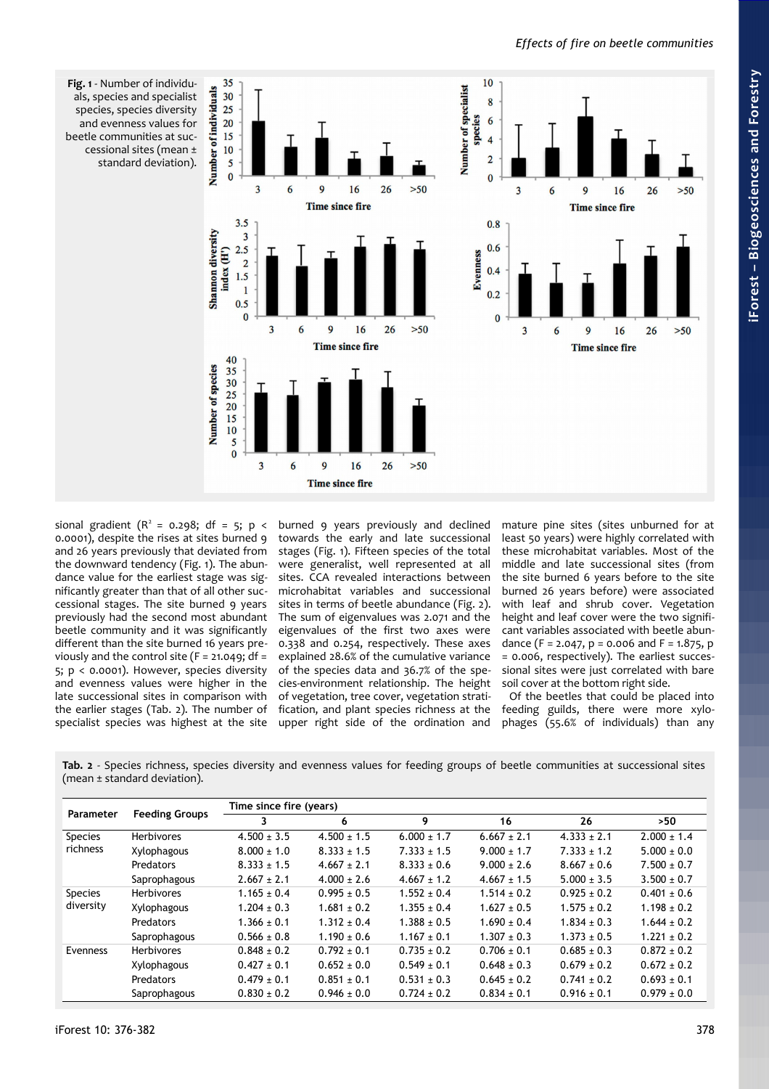

<span id="page-2-0"></span>**Fig. 1** - Number of individuals, species and specialist species, species diversity and evenness values for beetle communities at successional sites (mean ± standard deviation).

sional gradient ( $R^2$  = 0.298; df = 5; p < 0.0001), despite the rises at sites burned 9 and 26 years previously that deviated from the downward tendency [\(Fig. 1\)](#page-2-0). The abundance value for the earliest stage was significantly greater than that of all other successional stages. The site burned 9 years previously had the second most abundant beetle community and it was significantly different than the site burned 16 years previously and the control site ( $F = 21.049$ ; df = 5; p < 0.0001). However, species diversity and evenness values were higher in the late successional sites in comparison with the earlier stages [\(Tab. 2\)](#page-2-1). The number of specialist species was highest at the site

burned 9 years previously and declined towards the early and late successional stages [\(Fig. 1\)](#page-2-0). Fifteen species of the total were generalist, well represented at all sites. CCA revealed interactions between microhabitat variables and successional sites in terms of beetle abundance [\(Fig. 2\)](#page-3-0). The sum of eigenvalues was 2.071 and the eigenvalues of the first two axes were 0.338 and 0.254, respectively. These axes explained 28.6% of the cumulative variance of the species data and 36.7% of the species-environment relationship. The height of vegetation, tree cover, vegetation stratification, and plant species richness at the upper right side of the ordination and

mature pine sites (sites unburned for at least 50 years) were highly correlated with these microhabitat variables. Most of the middle and late successional sites (from the site burned 6 years before to the site burned 26 years before) were associated with leaf and shrub cover. Vegetation height and leaf cover were the two significant variables associated with beetle abundance (F = 2.047, p = 0.006 and F = 1.875, p = 0.006, respectively). The earliest successional sites were just correlated with bare soil cover at the bottom right side.

Of the beetles that could be placed into feeding guilds, there were more xylophages (55.6% of individuals) than any

<span id="page-2-1"></span>**Tab. 2** - Species richness, species diversity and evenness values for feeding groups of beetle communities at successional sites (mean ± standard deviation).

| Parameter                   | <b>Feeding Groups</b> | Time since fire (years) |                 |                 |                 |                 |                 |  |  |
|-----------------------------|-----------------------|-------------------------|-----------------|-----------------|-----------------|-----------------|-----------------|--|--|
|                             |                       | 3                       | 6               | 9               | 16              | 26              | >50             |  |  |
| <b>Species</b><br>richness  | <b>Herbivores</b>     | $4.500 \pm 3.5$         | $4.500 \pm 1.5$ | $6.000 \pm 1.7$ | $6.667 \pm 2.1$ | $4.333 \pm 2.1$ | $2.000 \pm 1.4$ |  |  |
|                             | Xylophagous           | $8.000 \pm 1.0$         | $8.333 \pm 1.5$ | $7.333 \pm 1.5$ | $9.000 \pm 1.7$ | $7.333 \pm 1.2$ | $5.000 \pm 0.0$ |  |  |
|                             | Predators             | $8.333 \pm 1.5$         | $4.667 \pm 2.1$ | $8.333 \pm 0.6$ | $9.000 \pm 2.6$ | $8.667 + 0.6$   | $7.500 \pm 0.7$ |  |  |
|                             | Saprophagous          | $2.667 \pm 2.1$         | $4.000 \pm 2.6$ | $4.667 \pm 1.2$ | $4.667 \pm 1.5$ | $5.000 \pm 3.5$ | $3.500 \pm 0.7$ |  |  |
| <b>Species</b><br>diversity | <b>Herbivores</b>     | $1.165 \pm 0.4$         | $0.995 \pm 0.5$ | $1.552 \pm 0.4$ | $1.514 \pm 0.2$ | $0.925 \pm 0.2$ | $0.401 \pm 0.6$ |  |  |
|                             | Xylophagous           | $1.204 \pm 0.3$         | $1.681 \pm 0.2$ | $1.355 \pm 0.4$ | $1.627 \pm 0.5$ | $1.575 \pm 0.2$ | $1.198 \pm 0.2$ |  |  |
|                             | Predators             | $1.366 \pm 0.1$         | $1.312 \pm 0.4$ | $1.388 \pm 0.5$ | $1.690 \pm 0.4$ | $1.834 \pm 0.3$ | $1.644 \pm 0.2$ |  |  |
|                             | Saprophagous          | $0.566 \pm 0.8$         | $1.190 \pm 0.6$ | $1.167 \pm 0.1$ | $1.307 \pm 0.3$ | $1.373 \pm 0.5$ | $1.221 \pm 0.2$ |  |  |
| Evenness                    | <b>Herbivores</b>     | $0.848 \pm 0.2$         | $0.792 \pm 0.1$ | $0.735 \pm 0.2$ | $0.706 \pm 0.1$ | $0.685 \pm 0.3$ | $0.872 \pm 0.2$ |  |  |
|                             | Xylophagous           | $0.427 \pm 0.1$         | $0.652 \pm 0.0$ | $0.549 \pm 0.1$ | $0.648 \pm 0.3$ | $0.679 \pm 0.2$ | $0.672 \pm 0.2$ |  |  |
|                             | Predators             | $0.479 \pm 0.1$         | $0.851 \pm 0.1$ | $0.531 \pm 0.3$ | $0.645 \pm 0.2$ | $0.741 \pm 0.2$ | $0.693 \pm 0.1$ |  |  |
|                             | Saprophagous          | $0.830 \pm 0.2$         | $0.946 \pm 0.0$ | $0.724 \pm 0.2$ | $0.834 \pm 0.1$ | $0.916 \pm 0.1$ | $0.979 \pm 0.0$ |  |  |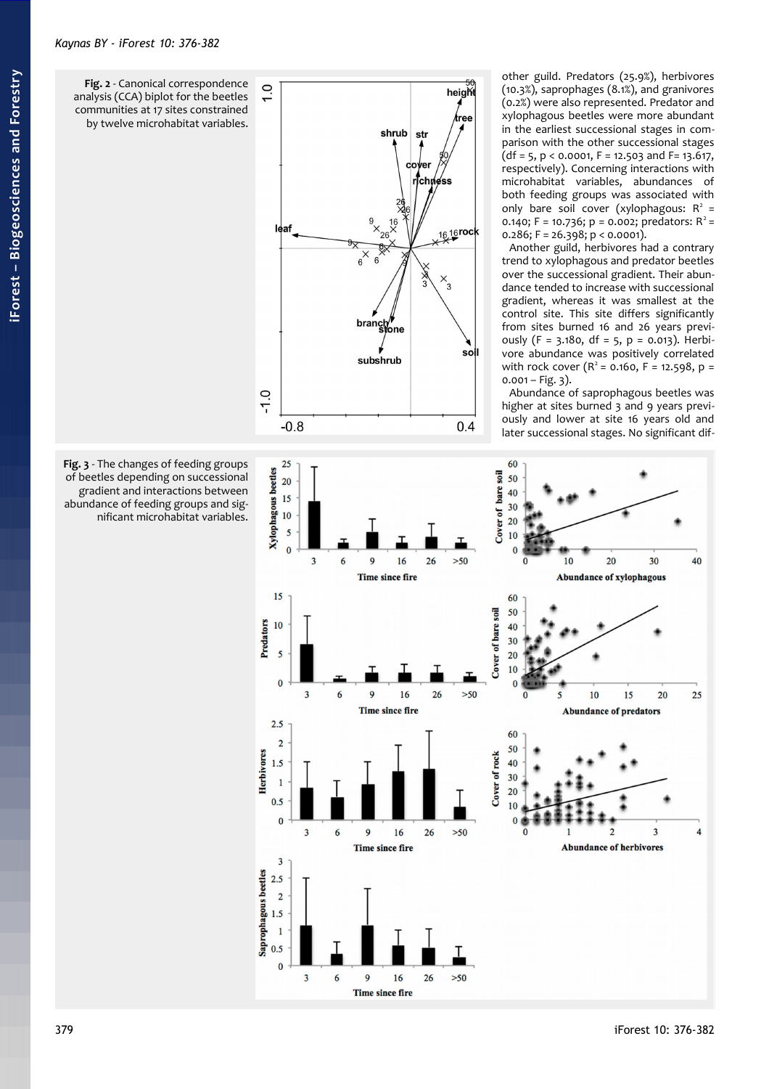<span id="page-3-0"></span>

<span id="page-3-1"></span>**Fig. 3** - The changes of feeding groups of beetles depending on successional gradient and interactions between abundance of feeding groups and significant microhabitat variables.

other guild. Predators (25.9%), herbivores (10.3%), saprophages (8.1%), and granivores (0.2%) were also represented. Predator and xylophagous beetles were more abundant in the earliest successional stages in comparison with the other successional stages  $(df = 5, p < 0.0001, F = 12.503$  and  $F = 13.617$ , respectively). Concerning interactions with microhabitat variables, abundances of both feeding groups was associated with only bare soil cover (xylophagous:  $R^2$  = 0.140; F = 10.736; p = 0.002; predators:  $R^2$  =  $0.286$ ; F = 26.398; p < 0.0001).

Another guild, herbivores had a contrary trend to xylophagous and predator beetles over the successional gradient. Their abundance tended to increase with successional gradient, whereas it was smallest at the control site. This site differs significantly from sites burned 16 and 26 years previously (F =  $3.180$ , df =  $5$ , p = 0.013). Herbivore abundance was positively correlated with rock cover  $(R^2 = 0.160, F = 12.598, p =$  $0.001 - Fig. 3$ ).

Abundance of saprophagous beetles was higher at sites burned 3 and 9 years previously and lower at site 16 years old and later successional stages. No significant dif-

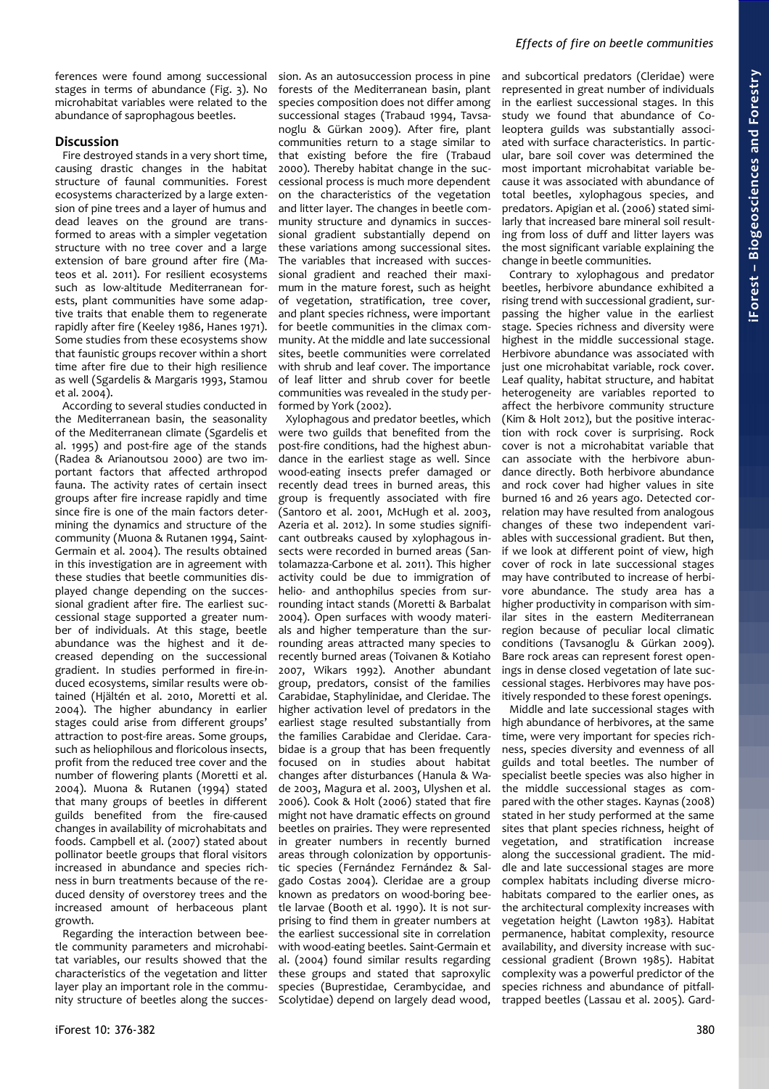ferences were found among successional stages in terms of abundance [\(Fig. 3\)](#page-3-1). No microhabitat variables were related to the abundance of saprophagous beetles.

## **Discussion**

Fire destroyed stands in a very short time, causing drastic changes in the habitat structure of faunal communities. Forest ecosystems characterized by a large extension of pine trees and a layer of humus and dead leaves on the ground are transformed to areas with a simpler vegetation structure with no tree cover and a large extension of bare ground after fire (Mateos et al. 2011). For resilient ecosystems such as low-altitude Mediterranean forests, plant communities have some adaptive traits that enable them to regenerate rapidly after fire (Keeley 1986, Hanes 1971). Some studies from these ecosystems show that faunistic groups recover within a short time after fire due to their high resilience as well (Sgardelis & Margaris 1993, Stamou et al. 2004).

According to several studies conducted in the Mediterranean basin, the seasonality of the Mediterranean climate (Sgardelis et al. 1995) and post-fire age of the stands (Radea & Arianoutsou 2000) are two important factors that affected arthropod fauna. The activity rates of certain insect groups after fire increase rapidly and time since fire is one of the main factors determining the dynamics and structure of the community (Muona & Rutanen 1994, Saint-Germain et al. 2004). The results obtained in this investigation are in agreement with these studies that beetle communities displayed change depending on the successional gradient after fire. The earliest successional stage supported a greater number of individuals. At this stage, beetle abundance was the highest and it decreased depending on the successional gradient. In studies performed in fire-induced ecosystems, similar results were obtained (Hjältén et al. 2010, Moretti et al. 2004). The higher abundancy in earlier stages could arise from different groups' attraction to post-fire areas. Some groups, such as heliophilous and floricolous insects, profit from the reduced tree cover and the number of flowering plants (Moretti et al. 2004). Muona & Rutanen (1994) stated that many groups of beetles in different guilds benefited from the fire-caused changes in availability of microhabitats and foods. Campbell et al. (2007) stated about pollinator beetle groups that floral visitors increased in abundance and species richness in burn treatments because of the reduced density of overstorey trees and the increased amount of herbaceous plant growth.

Regarding the interaction between beetle community parameters and microhabitat variables, our results showed that the characteristics of the vegetation and litter layer play an important role in the community structure of beetles along the succession. As an autosuccession process in pine forests of the Mediterranean basin, plant species composition does not differ among successional stages (Trabaud 1994, Tavsanoglu & Gürkan 2009). After fire, plant communities return to a stage similar to that existing before the fire (Trabaud 2000). Thereby habitat change in the successional process is much more dependent on the characteristics of the vegetation and litter layer. The changes in beetle community structure and dynamics in successional gradient substantially depend on these variations among successional sites. The variables that increased with successional gradient and reached their maximum in the mature forest, such as height of vegetation, stratification, tree cover, and plant species richness, were important for beetle communities in the climax community. At the middle and late successional sites, beetle communities were correlated with shrub and leaf cover. The importance of leaf litter and shrub cover for beetle communities was revealed in the study performed by York (2002).

Xylophagous and predator beetles, which were two guilds that benefited from the post-fire conditions, had the highest abundance in the earliest stage as well. Since wood-eating insects prefer damaged or recently dead trees in burned areas, this group is frequently associated with fire (Santoro et al. 2001, McHugh et al. 2003, Azeria et al. 2012). In some studies significant outbreaks caused by xylophagous insects were recorded in burned areas (Santolamazza-Carbone et al. 2011). This higher activity could be due to immigration of helio- and anthophilus species from surrounding intact stands (Moretti & Barbalat 2004). Open surfaces with woody materials and higher temperature than the surrounding areas attracted many species to recently burned areas (Toivanen & Kotiaho 2007, Wikars 1992). Another abundant group, predators, consist of the families Carabidae, Staphylinidae, and Cleridae. The higher activation level of predators in the earliest stage resulted substantially from the families Carabidae and Cleridae. Carabidae is a group that has been frequently focused on in studies about habitat changes after disturbances (Hanula & Wade 2003, Magura et al. 2003, Ulyshen et al. 2006). Cook & Holt (2006) stated that fire might not have dramatic effects on ground beetles on prairies. They were represented in greater numbers in recently burned areas through colonization by opportunistic species (Fernández Fernández & Salgado Costas 2004). Cleridae are a group known as predators on wood-boring beetle larvae (Booth et al. 1990). It is not surprising to find them in greater numbers at the earliest successional site in correlation with wood-eating beetles. Saint-Germain et al. (2004) found similar results regarding these groups and stated that saproxylic species (Buprestidae, Cerambycidae, and Scolytidae) depend on largely dead wood,

and subcortical predators (Cleridae) were represented in great number of individuals in the earliest successional stages. In this study we found that abundance of Coleoptera guilds was substantially associated with surface characteristics. In particular, bare soil cover was determined the most important microhabitat variable because it was associated with abundance of total beetles, xylophagous species, and predators. Apigian et al. (2006) stated similarly that increased bare mineral soil resulting from loss of duff and litter layers was the most significant variable explaining the change in beetle communities.

Contrary to xylophagous and predator beetles, herbivore abundance exhibited a rising trend with successional gradient, surpassing the higher value in the earliest stage. Species richness and diversity were highest in the middle successional stage. Herbivore abundance was associated with just one microhabitat variable, rock cover. Leaf quality, habitat structure, and habitat heterogeneity are variables reported to affect the herbivore community structure (Kim & Holt 2012), but the positive interaction with rock cover is surprising. Rock cover is not a microhabitat variable that can associate with the herbivore abundance directly. Both herbivore abundance and rock cover had higher values in site burned 16 and 26 years ago. Detected correlation may have resulted from analogous changes of these two independent variables with successional gradient. But then, if we look at different point of view, high cover of rock in late successional stages may have contributed to increase of herbivore abundance. The study area has a higher productivity in comparison with similar sites in the eastern Mediterranean region because of peculiar local climatic conditions (Tavsanoglu & Gürkan 2009). Bare rock areas can represent forest openings in dense closed vegetation of late successional stages. Herbivores may have positively responded to these forest openings.

Middle and late successional stages with high abundance of herbivores, at the same time, were very important for species richness, species diversity and evenness of all guilds and total beetles. The number of specialist beetle species was also higher in the middle successional stages as compared with the other stages. Kaynas (2008) stated in her study performed at the same sites that plant species richness, height of vegetation, and stratification increase along the successional gradient. The middle and late successional stages are more complex habitats including diverse microhabitats compared to the earlier ones, as the architectural complexity increases with vegetation height (Lawton 1983). Habitat permanence, habitat complexity, resource availability, and diversity increase with successional gradient (Brown 1985). Habitat complexity was a powerful predictor of the species richness and abundance of pitfalltrapped beetles (Lassau et al. 2005). Gard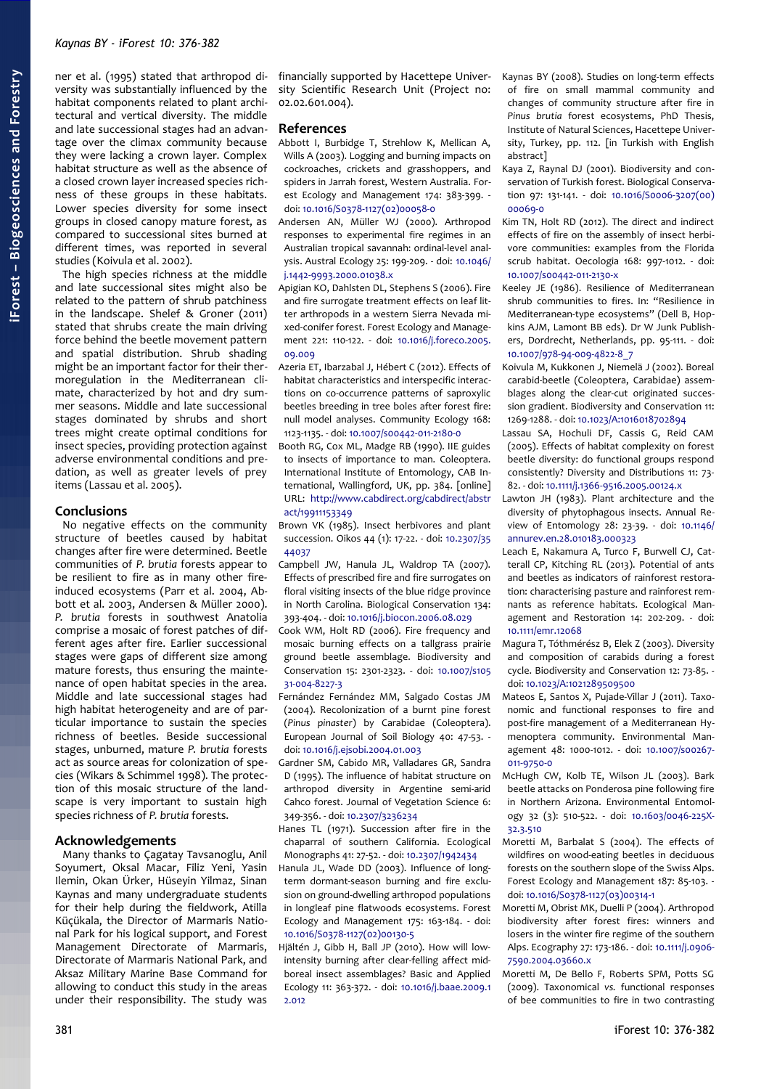ner et al. (1995) stated that arthropod diversity was substantially influenced by the habitat components related to plant architectural and vertical diversity. The middle and late successional stages had an advantage over the climax community because they were lacking a crown layer. Complex habitat structure as well as the absence of a closed crown layer increased species richness of these groups in these habitats. Lower species diversity for some insect groups in closed canopy mature forest, as compared to successional sites burned at different times, was reported in several studies (Koivula et al. 2002).

The high species richness at the middle and late successional sites might also be related to the pattern of shrub patchiness in the landscape. Shelef & Groner (2011) stated that shrubs create the main driving force behind the beetle movement pattern and spatial distribution. Shrub shading might be an important factor for their thermoregulation in the Mediterranean climate, characterized by hot and dry summer seasons. Middle and late successional stages dominated by shrubs and short trees might create optimal conditions for insect species, providing protection against adverse environmental conditions and predation, as well as greater levels of prey items (Lassau et al. 2005).

## **Conclusions**

No negative effects on the community structure of beetles caused by habitat changes after fire were determined. Beetle communities of *P. brutia* forests appear to be resilient to fire as in many other fireinduced ecosystems (Parr et al. 2004, Abbott et al. 2003, Andersen & Müller 2000). *P. brutia* forests in southwest Anatolia comprise a mosaic of forest patches of different ages after fire. Earlier successional stages were gaps of different size among mature forests, thus ensuring the maintenance of open habitat species in the area. Middle and late successional stages had high habitat heterogeneity and are of particular importance to sustain the species richness of beetles. Beside successional stages, unburned, mature *P. brutia* forests act as source areas for colonization of species (Wikars & Schimmel 1998). The protection of this mosaic structure of the landscape is very important to sustain high species richness of *P. brutia* forests.

## **Acknowledgements**

Many thanks to Çagatay Tavsanoglu, Anil Soyumert, Oksal Macar, Filiz Yeni, Yasin Ilemin, Okan Ürker, Hüseyin Yilmaz, Sinan Kaynas and many undergraduate students for their help during the fieldwork, Atilla Küçükala, the Director of Marmaris National Park for his logical support, and Forest Management Directorate of Marmaris, Directorate of Marmaris National Park, and Aksaz Military Marine Base Command for allowing to conduct this study in the areas under their responsibility. The study was financially supported by Hacettepe University Scientific Research Unit (Project no: 02.02.601.004).

## **References**

- Abbott I, Burbidge T, Strehlow K, Mellican A, Wills A (2003). Logging and burning impacts on cockroaches, crickets and grasshoppers, and spiders in Jarrah forest, Western Australia. Forest Ecology and Management 174: 383-399. doi: [10.1016/S0378-1127\(02\)00058-0](http://dx.doi.org/10.1016/S0378-1127(02)00058-0)
- Andersen AN, Müller WJ (2000). Arthropod responses to experimental fire regimes in an Australian tropical savannah: ordinal-level analysis. Austral Ecology 25: 199-209. - doi: [10.1046/](http://dx.doi.org/10.1046/j.1442-9993.2000.01038.x) [j.1442-9993.2000.01038.x](http://dx.doi.org/10.1046/j.1442-9993.2000.01038.x)
- Apigian KO, Dahlsten DL, Stephens S (2006). Fire and fire surrogate treatment effects on leaf litter arthropods in a western Sierra Nevada mixed-conifer forest. Forest Ecology and Management 221: 110-122. - doi: [10.1016/j.foreco.2005.](http://dx.doi.org/10.1016/j.foreco.2005.09.009) [09.009](http://dx.doi.org/10.1016/j.foreco.2005.09.009)
- Azeria ET, Ibarzabal J, Hébert C (2012). Effects of habitat characteristics and interspecific interactions on co-occurrence patterns of saproxylic beetles breeding in tree boles after forest fire: null model analyses. Community Ecology 168: 1123-1135. - doi: [10.1007/s00442-011-2180-0](http://dx.doi.org/10.1007/s00442-011-2180-0)
- Booth RG, Cox ML, Madge RB (1990). IIE guides to insects of importance to man. Coleoptera. International Institute of Entomology, CAB International, Wallingford, UK, pp. 384. [online] URL: [http://www.cabdirect.org/cabdirect/abstr](http://www.cabdirect.org/cabdirect/abstract/19911153349) [act/19911153349](http://www.cabdirect.org/cabdirect/abstract/19911153349)
- Brown VK (1985). Insect herbivores and plant succession. Oikos 44 (1): 17-22. - doi: [10.2307/35](http://dx.doi.org/10.2307/3544037) [44037](http://dx.doi.org/10.2307/3544037)
- Campbell JW, Hanula JL, Waldrop TA (2007). Effects of prescribed fire and fire surrogates on floral visiting insects of the blue ridge province in North Carolina. Biological Conservation 134: 393-404. - doi: [10.1016/j.biocon.2006.08.029](http://dx.doi.org/10.1016/j.biocon.2006.08.029)
- Cook WM, Holt RD (2006). Fire frequency and mosaic burning effects on a tallgrass prairie ground beetle assemblage. Biodiversity and Conservation 15: 2301-2323. - doi: [10.1007/s105](http://dx.doi.org/10.1007/s10531-004-8227-3) [31-004-8227-3](http://dx.doi.org/10.1007/s10531-004-8227-3)
- Fernández Fernández MM, Salgado Costas JM (2004). Recolonization of a burnt pine forest (*Pinus pinaster*) by Carabidae (Coleoptera). European Journal of Soil Biology 40: 47-53. doi: [10.1016/j.ejsobi.2004.01.003](http://dx.doi.org/10.1016/j.ejsobi.2004.01.003)
- Gardner SM, Cabido MR, Valladares GR, Sandra D (1995). The influence of habitat structure on arthropod diversity in Argentine semi-arid Cahco forest. Journal of Vegetation Science 6: 349-356. - doi: [10.2307/3236234](http://dx.doi.org/10.2307/3236234)
- Hanes TL (1971). Succession after fire in the chaparral of southern California. Ecological Monographs 41: 27-52. - doi: [10.2307/1942434](http://dx.doi.org/10.2307/1942434)
- Hanula JL, Wade DD (2003). Influence of longterm dormant-season burning and fire exclusion on ground-dwelling arthropod populations in longleaf pine flatwoods ecosystems. Forest Ecology and Management 175: 163-184. - doi: [10.1016/S0378-1127\(02\)00130-5](http://dx.doi.org/10.1016/S0378-1127(02)00130-5)
- Hjältén J, Gibb H, Ball JP (2010). How will lowintensity burning after clear-felling affect midboreal insect assemblages? Basic and Applied Ecology 11: 363-372. - doi: [10.1016/j.baae.2009.1](http://dx.doi.org/10.1016/j.baae.2009.12.012) [2.012](http://dx.doi.org/10.1016/j.baae.2009.12.012)
- Kaynas BY (2008). Studies on long-term effects of fire on small mammal community and changes of community structure after fire in *Pinus brutia* forest ecosystems, PhD Thesis, Institute of Natural Sciences, Hacettepe University, Turkey, pp. 112. [in Turkish with English abstract]
- Kaya Z, Raynal DJ (2001). Biodiversity and conservation of Turkish forest. Biological Conservation 97: 131-141. - doi: [10.1016/S0006-3207\(00\)](http://dx.doi.org/10.1016/S0006-3207(00)00069-0) [00069-0](http://dx.doi.org/10.1016/S0006-3207(00)00069-0)
- Kim TN, Holt RD (2012). The direct and indirect effects of fire on the assembly of insect herbivore communities: examples from the Florida scrub habitat. Oecologia 168: 997-1012. - doi: [10.1007/s00442-011-2130-x](http://dx.doi.org/10.1007/s00442-011-2130-x)
- Keeley JE (1986). Resilience of Mediterranean shrub communities to fires. In: "Resilience in Mediterranean-type ecosystems" (Dell B, Hopkins AJM, Lamont BB eds). Dr W Junk Publishers, Dordrecht, Netherlands, pp. 95-111. - doi: [10.1007/978-94-009-4822-8\\_7](http://dx.doi.org/10.1007/978-94-009-4822-8_7)
- Koivula M, Kukkonen J, Niemelä J (2002). Boreal carabid-beetle (Coleoptera, Carabidae) assemblages along the clear-cut originated succession gradient. Biodiversity and Conservation 11: 1269-1288. - doi: [10.1023/A:1016018702894](http://dx.doi.org/10.1023/A:1016018702894)
- Lassau SA, Hochuli DF, Cassis G, Reid CAM (2005). Effects of habitat complexity on forest beetle diversity: do functional groups respond consistently? Diversity and Distributions 11: 73- 82. - doi: [10.1111/j.1366-9516.2005.00124.x](http://dx.doi.org/10.1111/j.1366-9516.2005.00124.x)
- Lawton JH (1983). Plant architecture and the diversity of phytophagous insects. Annual Review of Entomology 28: 23-39. - doi: [10.1146/](http://dx.doi.org/10.1146/annurev.en.28.010183.000323) [annurev.en.28.010183.000323](http://dx.doi.org/10.1146/annurev.en.28.010183.000323)
- Leach E, Nakamura A, Turco F, Burwell CJ, Catterall CP, Kitching RL (2013). Potential of ants and beetles as indicators of rainforest restoration: characterising pasture and rainforest remnants as reference habitats. Ecological Management and Restoration 14: 202-209. - doi: [10.1111/emr.12068](http://dx.doi.org/10.1111/emr.12068)
- Magura T, Tóthmérész B, Elek Z (2003). Diversity and composition of carabids during a forest cycle. Biodiversity and Conservation 12: 73-85. doi: [10.1023/A:1021289509500](http://dx.doi.org/10.1023/A:1021289509500)
- Mateos E, Santos X, Pujade-Villar J (2011). Taxonomic and functional responses to fire and post-fire management of a Mediterranean Hymenoptera community. Environmental Management 48: 1000-1012. - doi: [10.1007/s00267-](http://dx.doi.org/10.1007/s00267-011-9750-0) [011-9750-0](http://dx.doi.org/10.1007/s00267-011-9750-0)
- McHugh CW, Kolb TE, Wilson JL (2003). Bark beetle attacks on Ponderosa pine following fire in Northern Arizona. Environmental Entomology 32 (3): 510-522. - doi: [10.1603/0046-225X-](http://dx.doi.org/10.1603/0046-225X-32.3.510)[32.3.510](http://dx.doi.org/10.1603/0046-225X-32.3.510)
- Moretti M, Barbalat S (2004). The effects of wildfires on wood-eating beetles in deciduous forests on the southern slope of the Swiss Alps. Forest Ecology and Management 187: 85-103. doi: [10.1016/S0378-1127\(03\)00314-1](http://dx.doi.org/10.1016/S0378-1127(03)00314-1)
- Moretti M, Obrist MK, Duelli P (2004). Arthropod biodiversity after forest fires: winners and losers in the winter fire regime of the southern Alps. Ecography 27: 173-186. - doi: [10.1111/j.0906-](http://dx.doi.org/10.1111/j.0906-7590.2004.03660.x) [7590.2004.03660.x](http://dx.doi.org/10.1111/j.0906-7590.2004.03660.x)
- Moretti M, De Bello F, Roberts SPM, Potts SG (2009). Taxonomical *vs.* functional responses of bee communities to fire in two contrasting